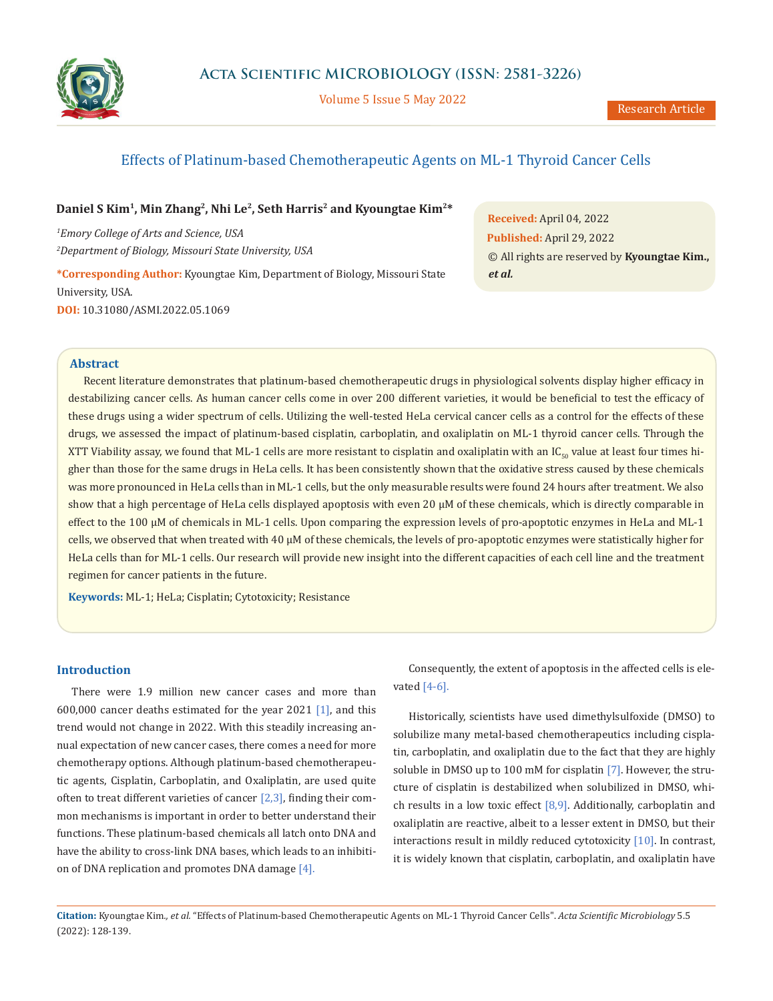

Volume 5 Issue 5 May 2022

# Effects of Platinum-based Chemotherapeutic Agents on ML-1 Thyroid Cancer Cells

## Daniel S Kim<sup>1</sup>, Min Zhang<sup>2</sup>, Nhi Le<sup>2</sup>, Seth Harris<sup>2</sup> and Kyoungtae Kim<sup>2\*</sup>

*1 Emory College of Arts and Science, USA 2 Department of Biology, Missouri State University, USA*

**\*Corresponding Author:** Kyoungtae Kim, Department of Biology, Missouri State University, USA. **DOI:** [10.31080/ASMI.2022.05.1069](https://actascientific.com/ASMI/pdf/ASMI-05-1069.pdf)

**Received:** April 04, 2022 **Published:** April 29, 2022 © All rights are reserved by **Kyoungtae Kim.,**  *et al.*

## **Abstract**

Recent literature demonstrates that platinum-based chemotherapeutic drugs in physiological solvents display higher efficacy in destabilizing cancer cells. As human cancer cells come in over 200 different varieties, it would be beneficial to test the efficacy of these drugs using a wider spectrum of cells. Utilizing the well-tested HeLa cervical cancer cells as a control for the effects of these drugs, we assessed the impact of platinum-based cisplatin, carboplatin, and oxaliplatin on ML-1 thyroid cancer cells. Through the XTT Viability assay, we found that ML-1 cells are more resistant to cisplatin and oxaliplatin with an  $IC_{50}$  value at least four times higher than those for the same drugs in HeLa cells. It has been consistently shown that the oxidative stress caused by these chemicals was more pronounced in HeLa cells than in ML-1 cells, but the only measurable results were found 24 hours after treatment. We also show that a high percentage of HeLa cells displayed apoptosis with even 20  $\mu$ M of these chemicals, which is directly comparable in effect to the 100 µM of chemicals in ML-1 cells. Upon comparing the expression levels of pro-apoptotic enzymes in HeLa and ML-1 cells, we observed that when treated with 40 µM of these chemicals, the levels of pro-apoptotic enzymes were statistically higher for HeLa cells than for ML-1 cells. Our research will provide new insight into the different capacities of each cell line and the treatment regimen for cancer patients in the future.

**Keywords:** ML-1; HeLa; Cisplatin; Cytotoxicity; Resistance

## **Introduction**

There were 1.9 million new cancer cases and more than 600,000 cancer deaths estimated for the year 2021 [1], and this trend would not change in 2022. With this steadily increasing annual expectation of new cancer cases, there comes a need for more chemotherapy options. Although platinum-based chemotherapeutic agents, Cisplatin, Carboplatin, and Oxaliplatin, are used quite often to treat different varieties of cancer  $[2,3]$ , finding their common mechanisms is important in order to better understand their functions. These platinum-based chemicals all latch onto DNA and have the ability to cross-link DNA bases, which leads to an inhibition of DNA replication and promotes DNA damage [4].

Consequently, the extent of apoptosis in the affected cells is elevated  $[4-6]$ .

Historically, scientists have used dimethylsulfoxide (DMSO) to solubilize many metal-based chemotherapeutics including cisplatin, carboplatin, and oxaliplatin due to the fact that they are highly soluble in DMSO up to 100 mM for cisplatin [7]. However, the structure of cisplatin is destabilized when solubilized in DMSO, which results in a low toxic effect  $[8,9]$ . Additionally, carboplatin and oxaliplatin are reactive, albeit to a lesser extent in DMSO, but their interactions result in mildly reduced cytotoxicity [10]. In contrast, it is widely known that cisplatin, carboplatin, and oxaliplatin have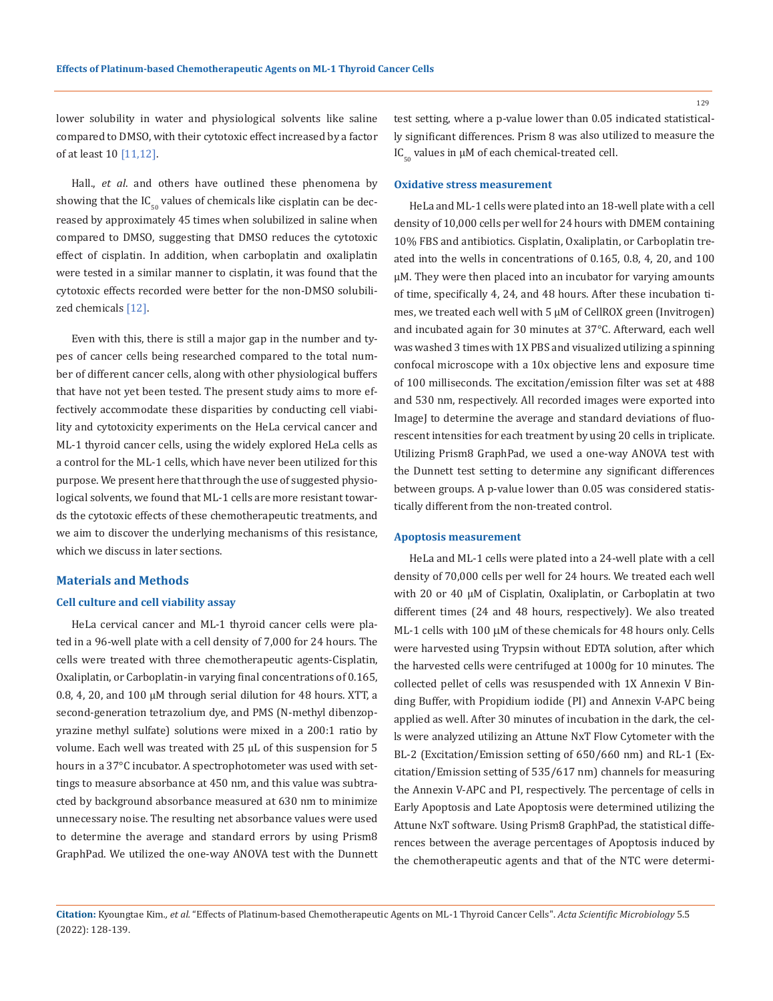lower solubility in water and physiological solvents like saline compared to DMSO, with their cytotoxic effect increased by a factor of at least 10 [11,12].

Hall., *et al*. and others have outlined these phenomena by showing that the  $IC_{50}$  values of chemicals like cisplatin can be decreased by approximately 45 times when solubilized in saline when compared to DMSO, suggesting that DMSO reduces the cytotoxic effect of cisplatin. In addition, when carboplatin and oxaliplatin were tested in a similar manner to cisplatin, it was found that the cytotoxic effects recorded were better for the non-DMSO solubilized chemicals [12].

Even with this, there is still a major gap in the number and types of cancer cells being researched compared to the total number of different cancer cells, along with other physiological buffers that have not yet been tested. The present study aims to more effectively accommodate these disparities by conducting cell viability and cytotoxicity experiments on the HeLa cervical cancer and ML-1 thyroid cancer cells, using the widely explored HeLa cells as a control for the ML-1 cells, which have never been utilized for this purpose. We present here that through the use of suggested physiological solvents, we found that ML-1 cells are more resistant towards the cytotoxic effects of these chemotherapeutic treatments, and we aim to discover the underlying mechanisms of this resistance, which we discuss in later sections.

#### **Materials and Methods**

#### **Cell culture and cell viability assay**

HeLa cervical cancer and ML-1 thyroid cancer cells were plated in a 96-well plate with a cell density of 7,000 for 24 hours. The cells were treated with three chemotherapeutic agents-Cisplatin, Oxaliplatin, or Carboplatin-in varying final concentrations of 0.165, 0.8, 4, 20, and 100 µM through serial dilution for 48 hours. XTT, a second-generation tetrazolium dye, and PMS (N-methyl dibenzopyrazine methyl sulfate) solutions were mixed in a 200:1 ratio by volume. Each well was treated with 25 µL of this suspension for 5 hours in a 37°C incubator. A spectrophotometer was used with settings to measure absorbance at 450 nm, and this value was subtracted by background absorbance measured at 630 nm to minimize unnecessary noise. The resulting net absorbance values were used to determine the average and standard errors by using Prism8 GraphPad. We utilized the one-way ANOVA test with the Dunnett test setting, where a p-value lower than 0.05 indicated statistically significant differences. Prism 8 was also utilized to measure the  $IC_{50}$  values in  $µM$  of each chemical-treated cell.

#### **Oxidative stress measurement**

HeLa and ML-1 cells were plated into an 18-well plate with a cell density of 10,000 cells per well for 24 hours with DMEM containing 10% FBS and antibiotics. Cisplatin, Oxaliplatin, or Carboplatin treated into the wells in concentrations of 0.165, 0.8, 4, 20, and 100 µM. They were then placed into an incubator for varying amounts of time, specifically 4, 24, and 48 hours. After these incubation times, we treated each well with 5 µM of CellROX green (Invitrogen) and incubated again for 30 minutes at 37°C. Afterward, each well was washed 3 times with 1X PBS and visualized utilizing a spinning confocal microscope with a 10x objective lens and exposure time of 100 milliseconds. The excitation/emission filter was set at 488 and 530 nm, respectively. All recorded images were exported into ImageJ to determine the average and standard deviations of fluorescent intensities for each treatment by using 20 cells in triplicate. Utilizing Prism8 GraphPad, we used a one-way ANOVA test with the Dunnett test setting to determine any significant differences between groups. A p-value lower than 0.05 was considered statistically different from the non-treated control.

#### **Apoptosis measurement**

HeLa and ML-1 cells were plated into a 24-well plate with a cell density of 70,000 cells per well for 24 hours. We treated each well with 20 or 40 µM of Cisplatin, Oxaliplatin, or Carboplatin at two different times (24 and 48 hours, respectively). We also treated ML-1 cells with 100 µM of these chemicals for 48 hours only. Cells were harvested using Trypsin without EDTA solution, after which the harvested cells were centrifuged at 1000g for 10 minutes. The collected pellet of cells was resuspended with 1X Annexin V Binding Buffer, with Propidium iodide (PI) and Annexin V-APC being applied as well. After 30 minutes of incubation in the dark, the cells were analyzed utilizing an Attune NxT Flow Cytometer with the BL-2 (Excitation/Emission setting of 650/660 nm) and RL-1 (Excitation/Emission setting of 535/617 nm) channels for measuring the Annexin V-APC and PI, respectively. The percentage of cells in Early Apoptosis and Late Apoptosis were determined utilizing the Attune NxT software. Using Prism8 GraphPad, the statistical differences between the average percentages of Apoptosis induced by the chemotherapeutic agents and that of the NTC were determi-

**Citation:** Kyoungtae Kim*., et al.* "Effects of Platinum-based Chemotherapeutic Agents on ML-1 Thyroid Cancer Cells". *Acta Scientific Microbiology* 5.5 (2022): 128-139.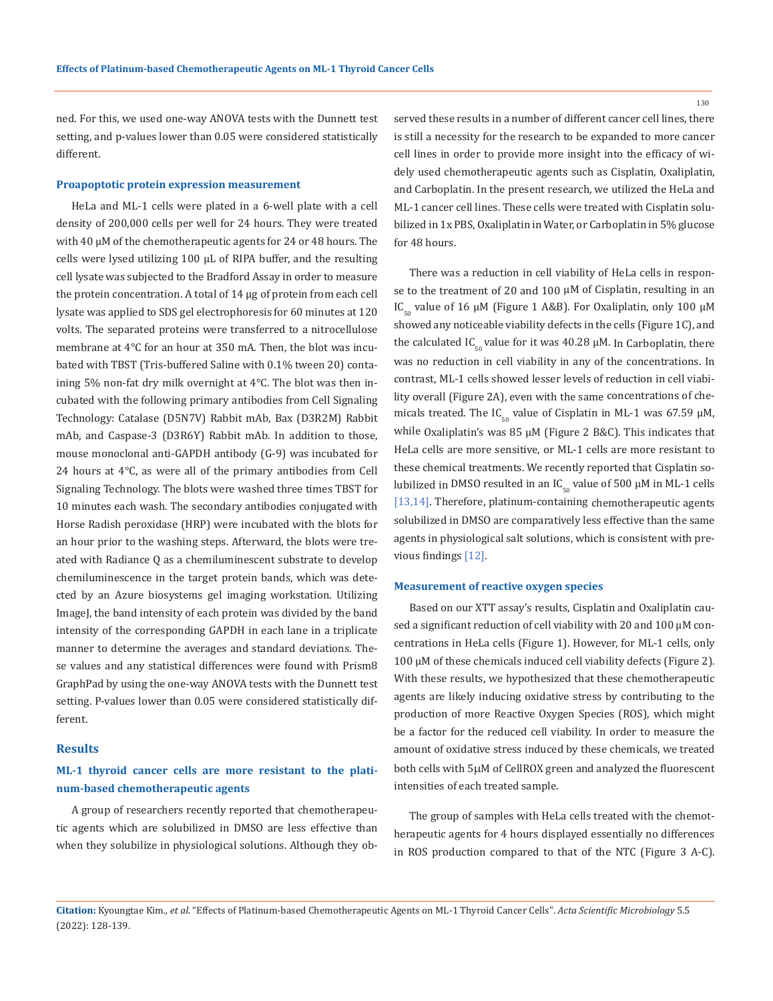130

ned. For this, we used one-way ANOVA tests with the Dunnett test setting, and p-values lower than 0.05 were considered statistically different.

#### **Proapoptotic protein expression measurement**

HeLa and ML-1 cells were plated in a 6-well plate with a cell density of 200,000 cells per well for 24 hours. They were treated with 40 µM of the chemotherapeutic agents for 24 or 48 hours. The cells were lysed utilizing  $100 \mu L$  of RIPA buffer, and the resulting cell lysate was subjected to the Bradford Assay in order to measure the protein concentration. A total of 14 µg of protein from each cell lysate was applied to SDS gel electrophoresis for 60 minutes at 120 volts. The separated proteins were transferred to a nitrocellulose membrane at 4°C for an hour at 350 mA. Then, the blot was incubated with TBST (Tris-buffered Saline with 0.1% tween 20) containing 5% non-fat dry milk overnight at 4°C. The blot was then incubated with the following primary antibodies from Cell Signaling Technology: Catalase (D5N7V) Rabbit mAb, Bax (D3R2M) Rabbit mAb, and Caspase-3 (D3R6Y) Rabbit mAb. In addition to those, mouse monoclonal anti-GAPDH antibody (G-9) was incubated for 24 hours at 4°C, as were all of the primary antibodies from Cell Signaling Technology. The blots were washed three times TBST for 10 minutes each wash. The secondary antibodies conjugated with Horse Radish peroxidase (HRP) were incubated with the blots for an hour prior to the washing steps. Afterward, the blots were treated with Radiance Q as a chemiluminescent substrate to develop chemiluminescence in the target protein bands, which was detected by an Azure biosystems gel imaging workstation. Utilizing ImageJ, the band intensity of each protein was divided by the band intensity of the corresponding GAPDH in each lane in a triplicate manner to determine the averages and standard deviations. These values and any statistical differences were found with Prism8 GraphPad by using the one-way ANOVA tests with the Dunnett test setting. P-values lower than 0.05 were considered statistically different.

## **Results**

## **ML-1 thyroid cancer cells are more resistant to the platinum-based chemotherapeutic agents**

A group of researchers recently reported that chemotherapeutic agents which are solubilized in DMSO are less effective than when they solubilize in physiological solutions. Although they observed these results in a number of different cancer cell lines, there is still a necessity for the research to be expanded to more cancer cell lines in order to provide more insight into the efficacy of widely used chemotherapeutic agents such as Cisplatin, Oxaliplatin, and Carboplatin. In the present research, we utilized the HeLa and ML-1 cancer cell lines. These cells were treated with Cisplatin solubilized in 1x PBS, Oxaliplatin in Water, or Carboplatin in 5% glucose for 48 hours.

There was a reduction in cell viability of HeLa cells in response to the treatment of 20 and 100 µM of Cisplatin, resulting in an IC<sub>50</sub> value of 16  $\mu$ M (Figure 1 A&B). For Oxaliplatin, only 100  $\mu$ M showed any noticeable viability defects in the cells (Figure 1C), and the calculated IC<sub>50</sub> value for it was 40.28  $\mu$ M. In Carboplatin, there was no reduction in cell viability in any of the concentrations. In contrast, ML-1 cells showed lesser levels of reduction in cell viability overall (Figure 2A), even with the same concentrations of chemicals treated. The IC<sub>50</sub> value of Cisplatin in ML-1 was 67.59  $\mu$ M, while Oxaliplatin's was 85  $\mu$ M (Figure 2 B&C). This indicates that HeLa cells are more sensitive, or ML-1 cells are more resistant to these chemical treatments. We recently reported that Cisplatin solubilized in DMSO resulted in an  $IC_{50}$  value of 500  $\mu$ M in ML-1 cells [13,14]. Therefore, platinum-containing chemotherapeutic agents solubilized in DMSO are comparatively less effective than the same agents in physiological salt solutions, which is consistent with previous findings [12].

#### **Measurement of reactive oxygen species**

Based on our XTT assay's results, Cisplatin and Oxaliplatin caused a significant reduction of cell viability with 20 and 100 µM concentrations in HeLa cells (Figure 1). However, for ML-1 cells, only 100 µM of these chemicals induced cell viability defects (Figure 2). With these results, we hypothesized that these chemotherapeutic agents are likely inducing oxidative stress by contributing to the production of more Reactive Oxygen Species (ROS), which might be a factor for the reduced cell viability. In order to measure the amount of oxidative stress induced by these chemicals, we treated both cells with 5µM of CellROX green and analyzed the fluorescent intensities of each treated sample.

The group of samples with HeLa cells treated with the chemotherapeutic agents for 4 hours displayed essentially no differences in ROS production compared to that of the NTC (Figure 3 A-C).

**Citation:** Kyoungtae Kim*., et al.* "Effects of Platinum-based Chemotherapeutic Agents on ML-1 Thyroid Cancer Cells". *Acta Scientific Microbiology* 5.5 (2022): 128-139.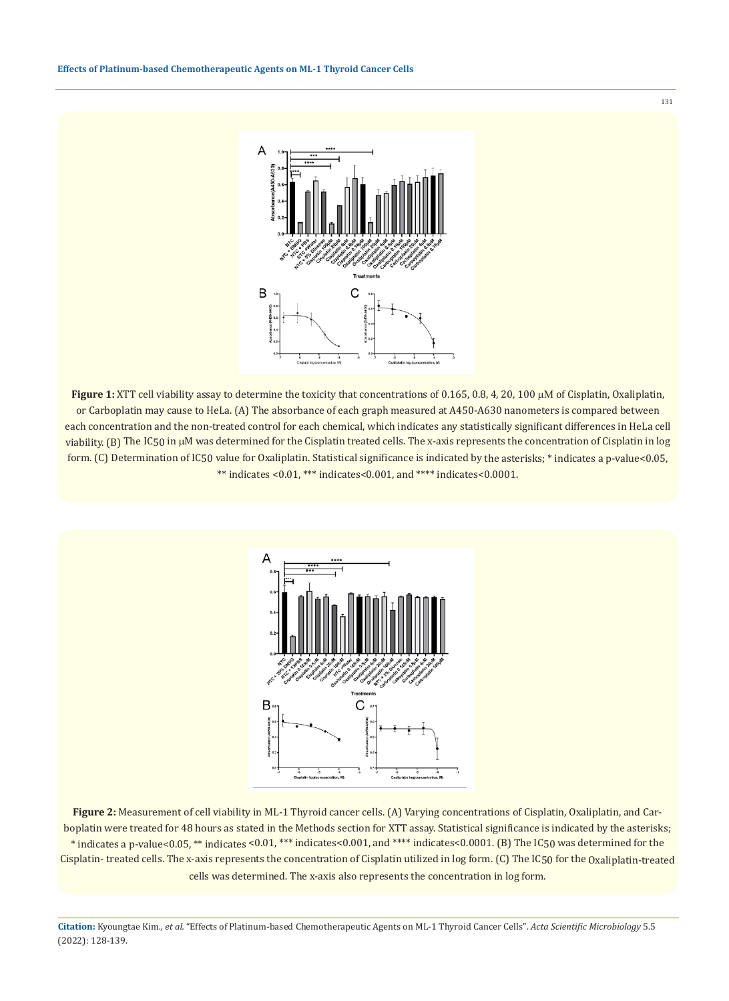

**Figure 1:** XTT cell viability assay to determine the toxicity that concentrations of 0.165, 0.8, 4, 20, 100 µΜ of Cisplatin, Oxaliplatin, or Carboplatin may cause to HeLa. (A) The absorbance of each graph measured at A450-A630 nanometers is compared between each concentration and the non-treated control for each chemical, which indicates any statistically significant differences in HeLa cell viability. (B) The IC50 in µM was determined for the Cisplatin treated cells. The x-axis represents the concentration of Cisplatin in log form. (C) Determination of IC50 value for Oxaliplatin. Statistical significance is indicated by the asterisks; \* indicates a p-value<0.05, \*\* indicates <0.01, \*\*\* indicates<0.001, and \*\*\*\* indicates<0.0001.



**Figure 2:** Measurement of cell viability in ML-1 Thyroid cancer cells. (A) Varying concentrations of Cisplatin, Oxaliplatin, and Carboplatin were treated for 48 hours as stated in the Methods section for XTT assay. Statistical significance is indicated by the asterisks; \* indicates a p-value<0.05, \*\* indicates <0.01, \*\*\* indicates<0.001, and \*\*\*\* indicates<0.0001. (B) The IC50 was determined for the Cisplatin- treated cells. The x-axis represents the concentration of Cisplatin utilized in log form. (C) The IC50 for the Oxaliplatin-treated cells was determined. The x-axis also represents the concentration in log form.

**Citation:** Kyoungtae Kim*., et al.* "Effects of Platinum-based Chemotherapeutic Agents on ML-1 Thyroid Cancer Cells". *Acta Scientific Microbiology* 5.5 (2022): 128-139.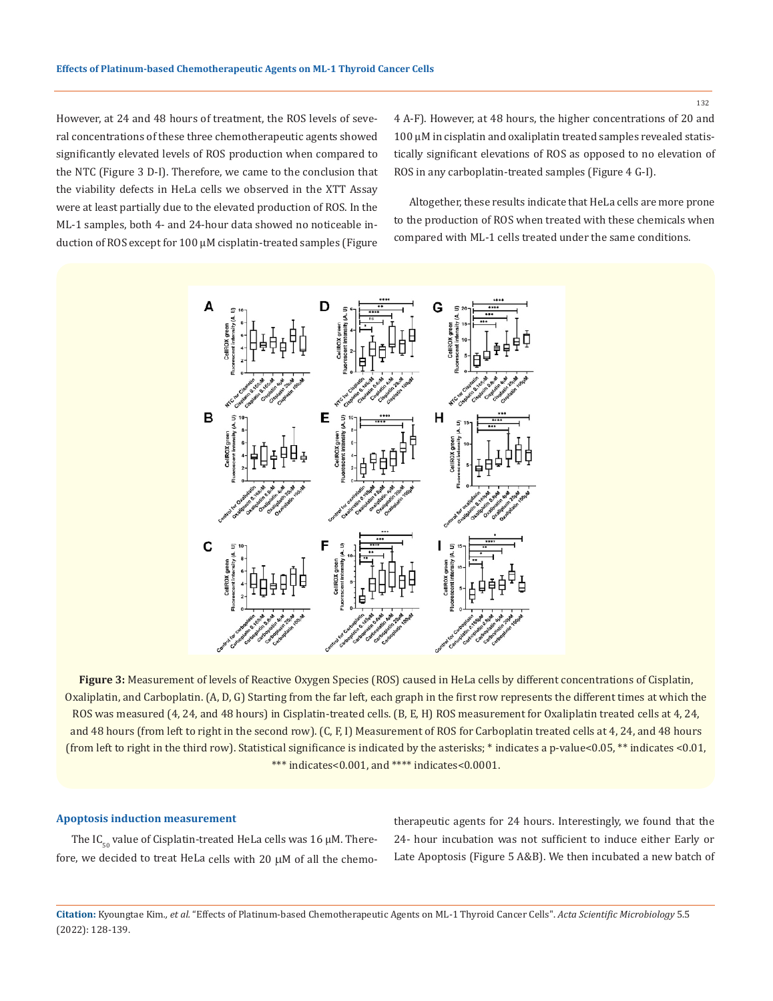132

However, at 24 and 48 hours of treatment, the ROS levels of several concentrations of these three chemotherapeutic agents showed significantly elevated levels of ROS production when compared to the NTC (Figure 3 D-I). Therefore, we came to the conclusion that the viability defects in HeLa cells we observed in the XTT Assay were at least partially due to the elevated production of ROS. In the ML-1 samples, both 4- and 24-hour data showed no noticeable induction of ROS except for 100 µM cisplatin-treated samples (Figure 4 A-F). However, at 48 hours, the higher concentrations of 20 and 100 µM in cisplatin and oxaliplatin treated samples revealed statistically significant elevations of ROS as opposed to no elevation of ROS in any carboplatin-treated samples (Figure 4 G-I).

Altogether, these results indicate that HeLa cells are more prone to the production of ROS when treated with these chemicals when compared with ML-1 cells treated under the same conditions.



**Figure 3:** Measurement of levels of Reactive Oxygen Species (ROS) caused in HeLa cells by different concentrations of Cisplatin, Oxaliplatin, and Carboplatin. (A, D, G) Starting from the far left, each graph in the first row represents the different times at which the ROS was measured (4, 24, and 48 hours) in Cisplatin-treated cells. (B, E, H) ROS measurement for Oxaliplatin treated cells at 4, 24, and 48 hours (from left to right in the second row). (C, F, I) Measurement of ROS for Carboplatin treated cells at 4, 24, and 48 hours (from left to right in the third row). Statistical significance is indicated by the asterisks; \* indicates a p-value<0.05, \*\* indicates <0.01, \*\*\* indicates<0.001, and \*\*\*\* indicates<0.0001.

#### **Apoptosis induction measurement**

The IC<sub> $\epsilon$ </sub> value of Cisplatin-treated HeLa cells was 16  $\mu$ M. Therefore, we decided to treat HeLa cells with 20 µM of all the chemotherapeutic agents for 24 hours. Interestingly, we found that the 24- hour incubation was not sufficient to induce either Early or Late Apoptosis (Figure 5 A&B). We then incubated a new batch of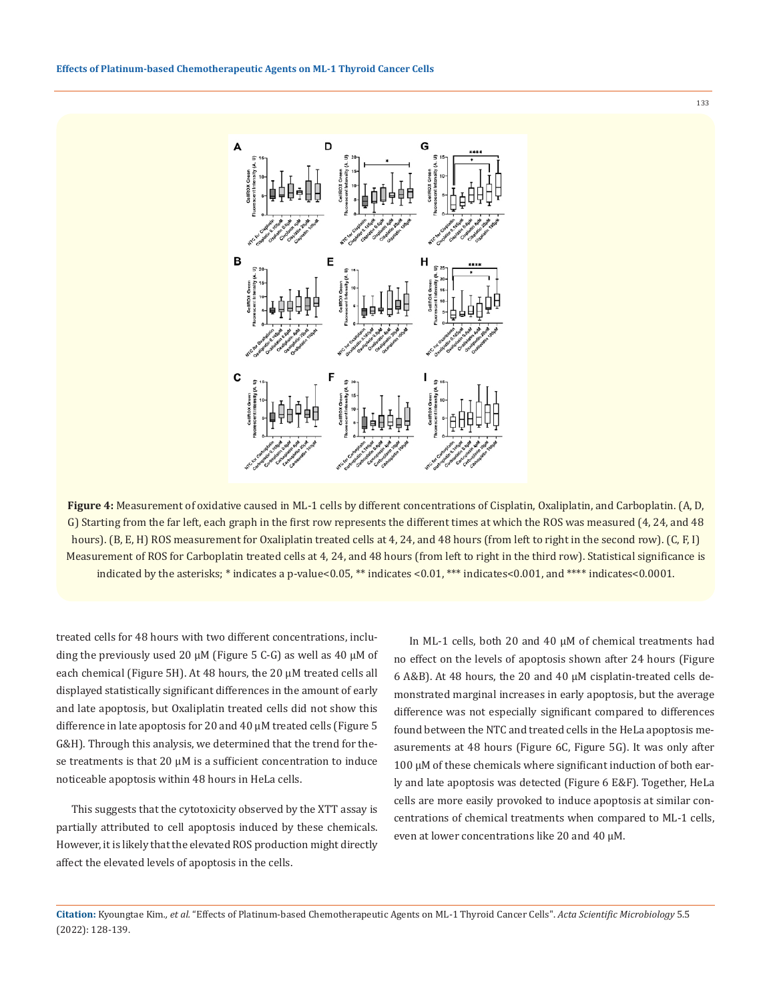

**Figure 4:** Measurement of oxidative caused in ML-1 cells by different concentrations of Cisplatin, Oxaliplatin, and Carboplatin. (A, D, G) Starting from the far left, each graph in the first row represents the different times at which the ROS was measured (4, 24, and 48 hours). (B, E, H) ROS measurement for Oxaliplatin treated cells at 4, 24, and 48 hours (from left to right in the second row). (C, F, I) Measurement of ROS for Carboplatin treated cells at 4, 24, and 48 hours (from left to right in the third row). Statistical significance is indicated by the asterisks; \* indicates a p-value<0.05, \*\* indicates <0.01, \*\*\* indicates<0.001, and \*\*\*\* indicates<0.0001.

treated cells for 48 hours with two different concentrations, including the previously used 20  $\mu$ M (Figure 5 C-G) as well as 40  $\mu$ M of each chemical (Figure 5H). At 48 hours, the 20 µM treated cells all displayed statistically significant differences in the amount of early and late apoptosis, but Oxaliplatin treated cells did not show this difference in late apoptosis for 20 and 40 µM treated cells (Figure 5 G&H). Through this analysis, we determined that the trend for these treatments is that 20  $\mu$ M is a sufficient concentration to induce noticeable apoptosis within 48 hours in HeLa cells.

This suggests that the cytotoxicity observed by the XTT assay is partially attributed to cell apoptosis induced by these chemicals. However, it is likely that the elevated ROS production might directly affect the elevated levels of apoptosis in the cells.

In ML-1 cells, both 20 and 40 µM of chemical treatments had no effect on the levels of apoptosis shown after 24 hours (Figure 6 A&B). At 48 hours, the 20 and 40 µM cisplatin-treated cells demonstrated marginal increases in early apoptosis, but the average difference was not especially significant compared to differences found between the NTC and treated cells in the HeLa apoptosis measurements at 48 hours (Figure 6C, Figure 5G). It was only after 100 µM of these chemicals where significant induction of both early and late apoptosis was detected (Figure 6 E&F). Together, HeLa cells are more easily provoked to induce apoptosis at similar concentrations of chemical treatments when compared to ML-1 cells, even at lower concentrations like 20 and 40 µM.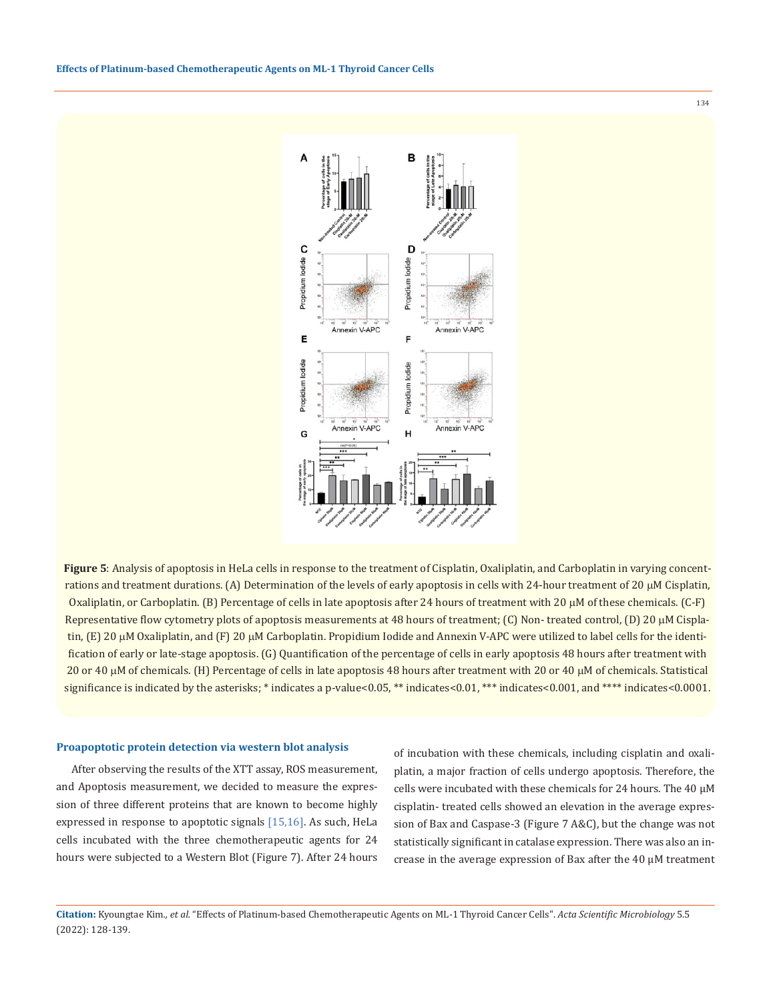**Figure 5**: Analysis of apoptosis in HeLa cells in response to the treatment of Cisplatin, Oxaliplatin, and Carboplatin in varying concentrations and treatment durations. (A) Determination of the levels of early apoptosis in cells with 24-hour treatment of 20  $\mu$ M Cisplatin, Oxaliplatin, or Carboplatin. (B) Percentage of cells in late apoptosis after 24 hours of treatment with 20 µM of these chemicals. (C-F) Representative flow cytometry plots of apoptosis measurements at 48 hours of treatment; (C) Non- treated control, (D) 20  $\mu$ M Cisplatin,  $(E)$  20  $\mu$ M Oxaliplatin, and  $(F)$  20  $\mu$ M Carboplatin. Propidium Iodide and Annexin V-APC were utilized to label cells for the identification of early or late-stage apoptosis. (G) Quantification of the percentage of cells in early apoptosis 48 hours after treatment with 20 or 40 µM of chemicals. (H) Percentage of cells in late apoptosis 48 hours after treatment with 20 or 40 µM of chemicals. Statistical significance is indicated by the asterisks; \* indicates a p-value<0.05, \*\* indicates<0.01, \*\*\* indicates<0.001, and \*\*\*\* indicates<0.0001.

#### **Proapoptotic protein detection via western blot analysis**

After observing the results of the XTT assay, ROS measurement, and Apoptosis measurement, we decided to measure the expression of three different proteins that are known to become highly expressed in response to apoptotic signals [15,16]. As such, HeLa cells incubated with the three chemotherapeutic agents for 24 hours were subjected to a Western Blot (Figure 7). After 24 hours

of incubation with these chemicals, including cisplatin and oxaliplatin, a major fraction of cells undergo apoptosis. Therefore, the cells were incubated with these chemicals for 24 hours. The 40 µM cisplatin- treated cells showed an elevation in the average expression of Bax and Caspase-3 (Figure 7 A&C), but the change was not statistically significant in catalase expression. There was also an increase in the average expression of Bax after the 40 µM treatment

**Citation:** Kyoungtae Kim*., et al.* "Effects of Platinum-based Chemotherapeutic Agents on ML-1 Thyroid Cancer Cells". *Acta Scientific Microbiology* 5.5 (2022): 128-139.

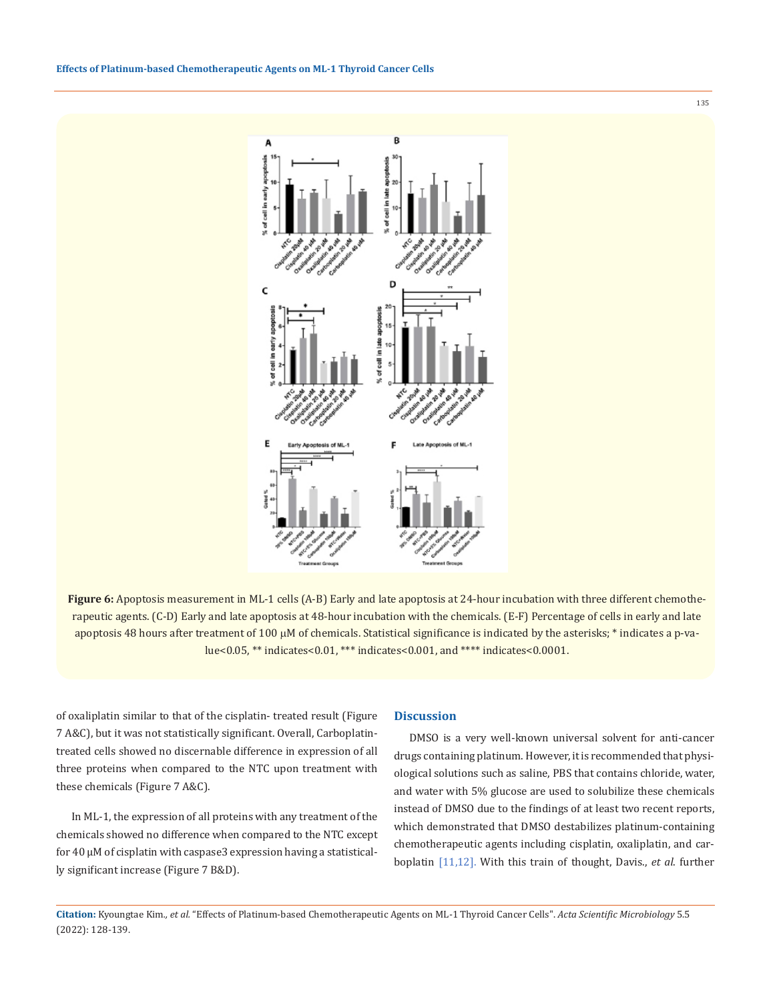**Effects of Platinum-based Chemotherapeutic Agents on ML-1 Thyroid Cancer Cells**



**Figure 6:** Apoptosis measurement in ML-1 cells (A-B) Early and late apoptosis at 24-hour incubation with three different chemotherapeutic agents. (C-D) Early and late apoptosis at 48-hour incubation with the chemicals. (E-F) Percentage of cells in early and late apoptosis 48 hours after treatment of 100 µM of chemicals. Statistical significance is indicated by the asterisks; \* indicates a p-value<0.05, \*\* indicates<0.01, \*\*\* indicates<0.001, and \*\*\*\* indicates<0.0001.

of oxaliplatin similar to that of the cisplatin- treated result (Figure 7 A&C), but it was not statistically significant. Overall, Carboplatintreated cells showed no discernable difference in expression of all three proteins when compared to the NTC upon treatment with these chemicals (Figure 7 A&C).

In ML-1, the expression of all proteins with any treatment of the chemicals showed no difference when compared to the NTC except for 40 µM of cisplatin with caspase3 expression having a statistically significant increase (Figure 7 B&D).

#### **Discussion**

DMSO is a very well-known universal solvent for anti-cancer drugs containing platinum. However, it is recommended that physiological solutions such as saline, PBS that contains chloride, water, and water with 5% glucose are used to solubilize these chemicals instead of DMSO due to the findings of at least two recent reports, which demonstrated that DMSO destabilizes platinum-containing chemotherapeutic agents including cisplatin, oxaliplatin, and carboplatin [11,12]. With this train of thought, Davis., *et al*. further

135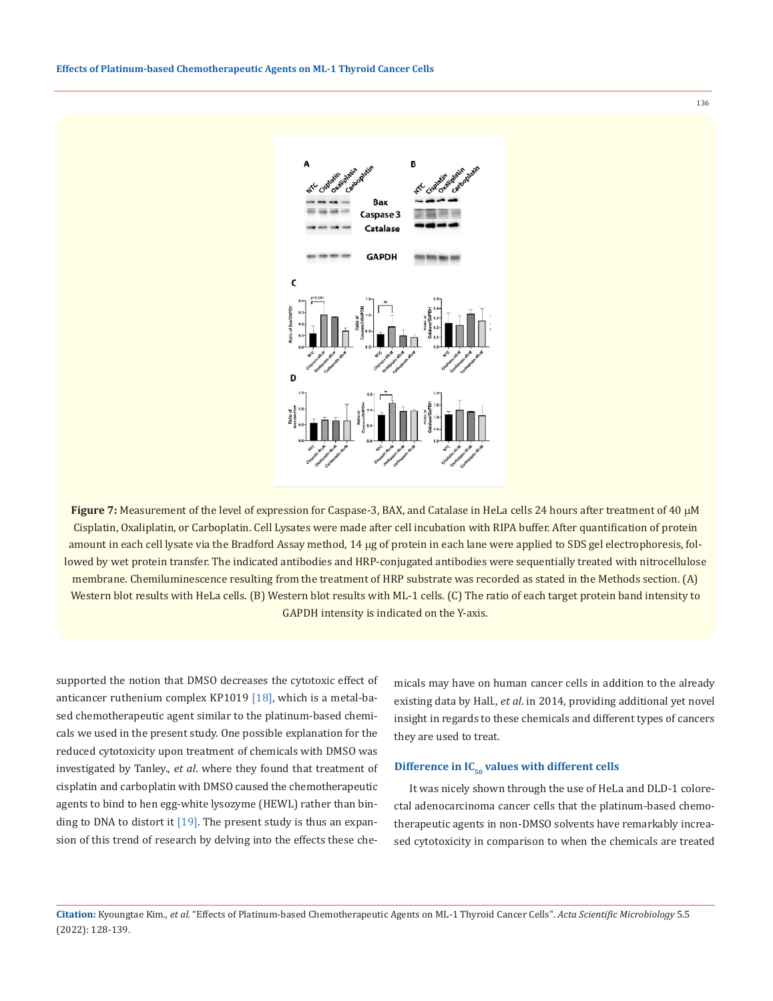**Effects of Platinum-based Chemotherapeutic Agents on ML-1 Thyroid Cancer Cells**



**Figure 7:** Measurement of the level of expression for Caspase-3, BAX, and Catalase in HeLa cells 24 hours after treatment of 40  $\mu$ M Cisplatin, Oxaliplatin, or Carboplatin. Cell Lysates were made after cell incubation with RIPA buffer. After quantification of protein amount in each cell lysate via the Bradford Assay method, 14 µg of protein in each lane were applied to SDS gel electrophoresis, followed by wet protein transfer. The indicated antibodies and HRP-conjugated antibodies were sequentially treated with nitrocellulose membrane. Chemiluminescence resulting from the treatment of HRP substrate was recorded as stated in the Methods section. (A) Western blot results with HeLa cells. (B) Western blot results with ML-1 cells. (C) The ratio of each target protein band intensity to GAPDH intensity is indicated on the Y-axis.

supported the notion that DMSO decreases the cytotoxic effect of anticancer ruthenium complex KP1019 [18], which is a metal-based chemotherapeutic agent similar to the platinum-based chemicals we used in the present study. One possible explanation for the reduced cytotoxicity upon treatment of chemicals with DMSO was investigated by Tanley., *et al*. where they found that treatment of cisplatin and carboplatin with DMSO caused the chemotherapeutic agents to bind to hen egg-white lysozyme (HEWL) rather than binding to DNA to distort it  $[19]$ . The present study is thus an expansion of this trend of research by delving into the effects these che-

micals may have on human cancer cells in addition to the already existing data by Hall., *et al*. in 2014, providing additional yet novel insight in regards to these chemicals and different types of cancers they are used to treat.

### Difference in IC<sub>50</sub> values with different cells

It was nicely shown through the use of HeLa and DLD-1 colorectal adenocarcinoma cancer cells that the platinum-based chemotherapeutic agents in non-DMSO solvents have remarkably increased cytotoxicity in comparison to when the chemicals are treated

**Citation:** Kyoungtae Kim*., et al.* "Effects of Platinum-based Chemotherapeutic Agents on ML-1 Thyroid Cancer Cells". *Acta Scientific Microbiology* 5.5 (2022): 128-139.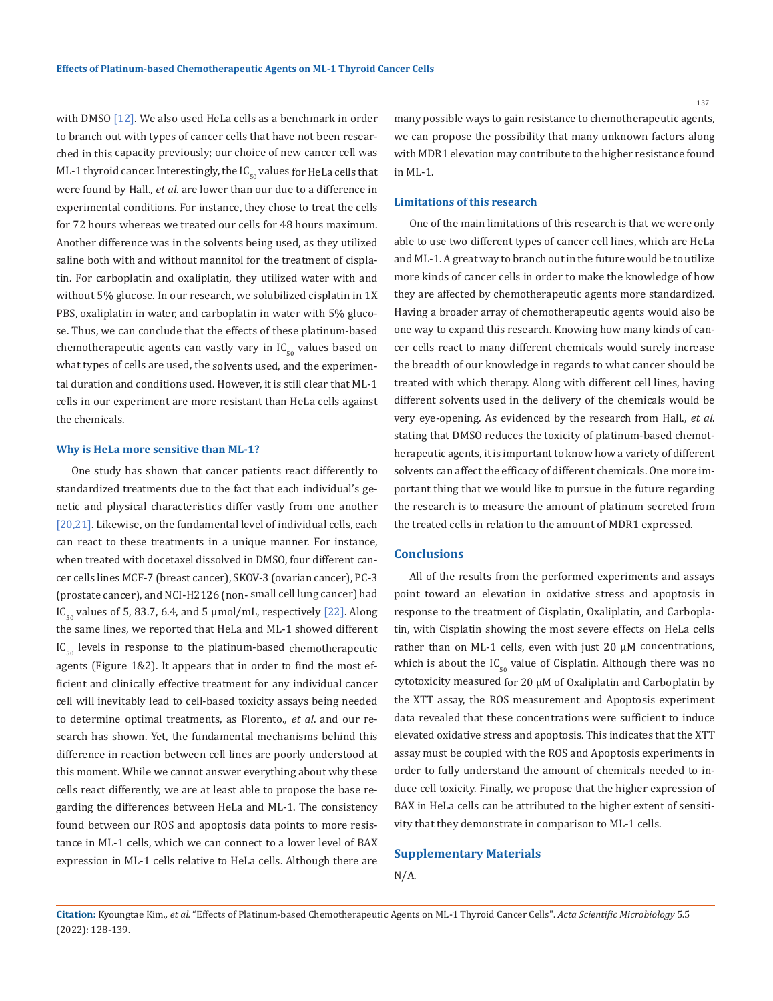with DMSO [12]. We also used HeLa cells as a benchmark in order to branch out with types of cancer cells that have not been researched in this capacity previously; our choice of new cancer cell was ML-1 thyroid cancer. Interestingly, the  $IC_{50}$  values for HeLa cells that were found by Hall., *et al*. are lower than our due to a difference in experimental conditions. For instance, they chose to treat the cells for 72 hours whereas we treated our cells for 48 hours maximum. Another difference was in the solvents being used, as they utilized saline both with and without mannitol for the treatment of cisplatin. For carboplatin and oxaliplatin, they utilized water with and without 5% glucose. In our research, we solubilized cisplatin in 1X PBS, oxaliplatin in water, and carboplatin in water with 5% glucose. Thus, we can conclude that the effects of these platinum-based chemotherapeutic agents can vastly vary in  $IC_{50}$  values based on what types of cells are used, the solvents used, and the experimental duration and conditions used. However, it is still clear that ML-1 cells in our experiment are more resistant than HeLa cells against the chemicals.

#### **Why is HeLa more sensitive than ML-1?**

One study has shown that cancer patients react differently to standardized treatments due to the fact that each individual's genetic and physical characteristics differ vastly from one another [20,21]. Likewise, on the fundamental level of individual cells, each can react to these treatments in a unique manner. For instance, when treated with docetaxel dissolved in DMSO, four different cancer cells lines MCF-7 (breast cancer), SKOV-3 (ovarian cancer), PC-3 (prostate cancer), and NCI-H2126 (non- small cell lung cancer) had IC<sub>50</sub> values of 5, 83.7, 6.4, and 5 µmol/mL, respectively [22]. Along the same lines, we reported that HeLa and ML-1 showed different  $IC_{50}$  levels in response to the platinum-based chemotherapeutic agents (Figure 1&2). It appears that in order to find the most efficient and clinically effective treatment for any individual cancer cell will inevitably lead to cell-based toxicity assays being needed to determine optimal treatments, as Florento., *et al*. and our research has shown. Yet, the fundamental mechanisms behind this difference in reaction between cell lines are poorly understood at this moment. While we cannot answer everything about why these cells react differently, we are at least able to propose the base regarding the differences between HeLa and ML-1. The consistency found between our ROS and apoptosis data points to more resistance in ML-1 cells, which we can connect to a lower level of BAX expression in ML-1 cells relative to HeLa cells. Although there are many possible ways to gain resistance to chemotherapeutic agents, we can propose the possibility that many unknown factors along with MDR1 elevation may contribute to the higher resistance found in ML-1.

### **Limitations of this research**

One of the main limitations of this research is that we were only able to use two different types of cancer cell lines, which are HeLa and ML-1. A great way to branch out in the future would be to utilize more kinds of cancer cells in order to make the knowledge of how they are affected by chemotherapeutic agents more standardized. Having a broader array of chemotherapeutic agents would also be one way to expand this research. Knowing how many kinds of cancer cells react to many different chemicals would surely increase the breadth of our knowledge in regards to what cancer should be treated with which therapy. Along with different cell lines, having different solvents used in the delivery of the chemicals would be very eye-opening. As evidenced by the research from Hall., *et al*. stating that DMSO reduces the toxicity of platinum-based chemotherapeutic agents, it is important to know how a variety of different solvents can affect the efficacy of different chemicals. One more important thing that we would like to pursue in the future regarding the research is to measure the amount of platinum secreted from the treated cells in relation to the amount of MDR1 expressed.

#### **Conclusions**

All of the results from the performed experiments and assays point toward an elevation in oxidative stress and apoptosis in response to the treatment of Cisplatin, Oxaliplatin, and Carboplatin, with Cisplatin showing the most severe effects on HeLa cells rather than on ML-1 cells, even with just 20  $\mu$ M concentrations, which is about the  $IC_{50}$  value of Cisplatin. Although there was no cytotoxicity measured for 20 µM of Oxaliplatin and Carboplatin by the XTT assay, the ROS measurement and Apoptosis experiment data revealed that these concentrations were sufficient to induce elevated oxidative stress and apoptosis. This indicates that the XTT assay must be coupled with the ROS and Apoptosis experiments in order to fully understand the amount of chemicals needed to induce cell toxicity. Finally, we propose that the higher expression of BAX in HeLa cells can be attributed to the higher extent of sensitivity that they demonstrate in comparison to ML-1 cells.

### **Supplementary Materials**

N/A.

**Citation:** Kyoungtae Kim*., et al.* "Effects of Platinum-based Chemotherapeutic Agents on ML-1 Thyroid Cancer Cells". *Acta Scientific Microbiology* 5.5 (2022): 128-139.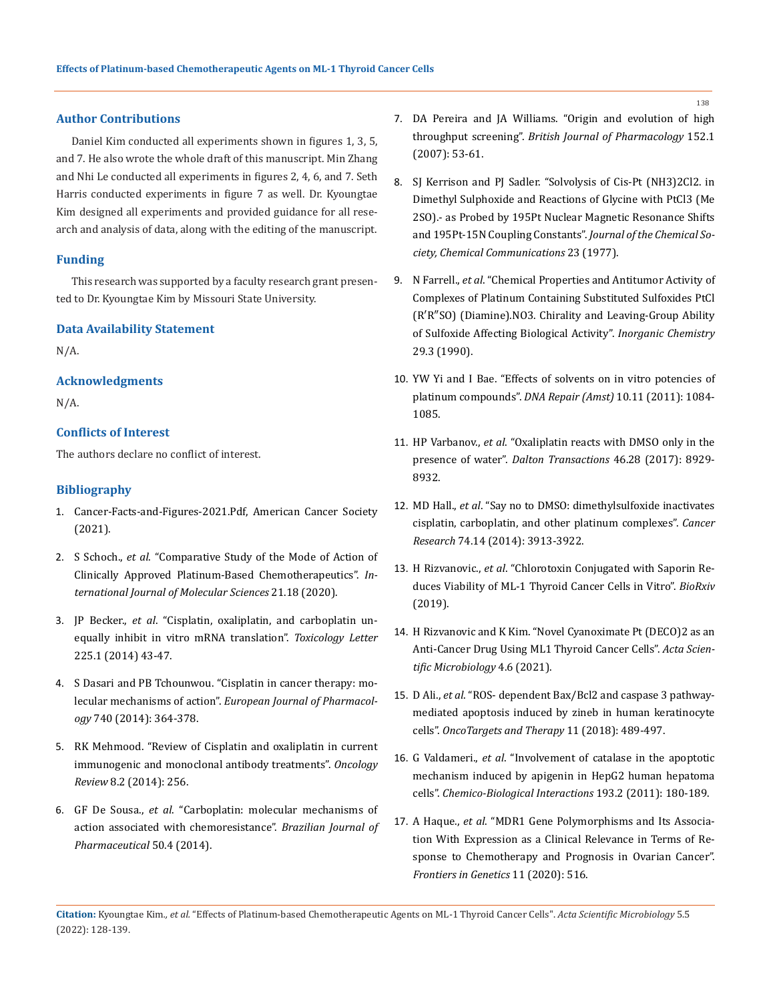### **Author Contributions**

Daniel Kim conducted all experiments shown in figures 1, 3, 5, and 7. He also wrote the whole draft of this manuscript. Min Zhang and Nhi Le conducted all experiments in figures 2, 4, 6, and 7. Seth Harris conducted experiments in figure 7 as well. Dr. Kyoungtae Kim designed all experiments and provided guidance for all research and analysis of data, along with the editing of the manuscript.

#### **Funding**

This research was supported by a faculty research grant presented to Dr. Kyoungtae Kim by Missouri State University.

#### **Data Availability Statement**

N/A.

### **Acknowledgments**

N/A.

### **Conflicts of Interest**

The authors declare no conflict of interest.

### **Bibliography**

- 1. Cancer-Facts-and-Figures-2021.Pdf, American Cancer Society (2021).
- 2. S Schoch., *et al*[. "Comparative Study of the Mode of Action of](https://pubmed.ncbi.nlm.nih.gov/32967255/)  [Clinically Approved Platinum-Based Chemotherapeutics".](https://pubmed.ncbi.nlm.nih.gov/32967255/) *In[ternational Journal of Molecular Sciences](https://pubmed.ncbi.nlm.nih.gov/32967255/)* 21.18 (2020).
- 3. JP Becker., *et al*[. "Cisplatin, oxaliplatin, and carboplatin un](https://pubmed.ncbi.nlm.nih.gov/24275384/)[equally inhibit in vitro mRNA translation".](https://pubmed.ncbi.nlm.nih.gov/24275384/) *Toxicology Letter* [225.1 \(2014\) 43-47.](https://pubmed.ncbi.nlm.nih.gov/24275384/)
- 4. S Dasari and PB Tchounwou. "Cisplatin in cancer therapy: molecular mechanisms of action". *European Journal of Pharmacology* 740 (2014): 364-378.
- 5. [RK Mehmood. "Review of Cisplatin and oxaliplatin in current](https://pubmed.ncbi.nlm.nih.gov/25992242/)  [immunogenic and monoclonal antibody treatments".](https://pubmed.ncbi.nlm.nih.gov/25992242/) *Oncology Review* [8.2 \(2014\): 256.](https://pubmed.ncbi.nlm.nih.gov/25992242/)
- 6. GF De Sousa., *et al*[. "Carboplatin: molecular mechanisms of](https://www.scielo.br/j/bjps/a/9F6tZpxsm7spMKjGn6Z3kvr/?lang=en)  [action associated with chemoresistance".](https://www.scielo.br/j/bjps/a/9F6tZpxsm7spMKjGn6Z3kvr/?lang=en) *Brazilian Journal of [Pharmaceutical](https://www.scielo.br/j/bjps/a/9F6tZpxsm7spMKjGn6Z3kvr/?lang=en)* 50.4 (2014).
- 7. DA Pereira and JA Williams. "Origin and evolution of high throughput screening". *British Journal of Pharmacology* 152.1 (2007): 53-61.
- 8. [SJ Kerrison and PJ Sadler. "Solvolysis of Cis-Pt \(NH3\)2Cl2. in](https://pubs.rsc.org/en/content/articlelanding/1977/c3/c39770000861)  [Dimethyl Sulphoxide and Reactions of Glycine with PtCl3 \(Me](https://pubs.rsc.org/en/content/articlelanding/1977/c3/c39770000861)  [2SO\).- as Probed by 195Pt Nuclear Magnetic Resonance Shifts](https://pubs.rsc.org/en/content/articlelanding/1977/c3/c39770000861)  [and 195Pt-15N Coupling Constants".](https://pubs.rsc.org/en/content/articlelanding/1977/c3/c39770000861) *Journal of the Chemical So[ciety, Chemical Communications](https://pubs.rsc.org/en/content/articlelanding/1977/c3/c39770000861)* 23 (1977).
- 9. N Farrell., *et al*[. "Chemical Properties and Antitumor Activity of](https://pubs.acs.org/doi/10.1021/ic00328a011)  [Complexes of Platinum Containing Substituted Sulfoxides PtCl](https://pubs.acs.org/doi/10.1021/ic00328a011)  [\(R′R″SO\) \(Diamine\).NO3. Chirality and Leaving-Group Ability](https://pubs.acs.org/doi/10.1021/ic00328a011)  [of Sulfoxide Affecting Biological Activity".](https://pubs.acs.org/doi/10.1021/ic00328a011) *Inorganic Chemistry* [29.3 \(1990\).](https://pubs.acs.org/doi/10.1021/ic00328a011)
- 10. [YW Yi and I Bae. "Effects of solvents on in vitro potencies of](https://pubmed.ncbi.nlm.nih.gov/21978437/)  platinum compounds". *[DNA Repair \(Amst\)](https://pubmed.ncbi.nlm.nih.gov/21978437/)* 10.11 (2011): 1084- [1085.](https://pubmed.ncbi.nlm.nih.gov/21978437/)
- 11. HP Varbanov., *et al*. "Oxaliplatin reacts with DMSO only in the presence of water". *Dalton Transactions* 46.28 (2017): 8929- 8932.
- 12. MD Hall., *et al*[. "Say no to DMSO: dimethylsulfoxide inactivates](https://pubmed.ncbi.nlm.nih.gov/24812268/)  [cisplatin, carboplatin, and other platinum complexes".](https://pubmed.ncbi.nlm.nih.gov/24812268/) *Cancer Research* [74.14 \(2014\): 3913-3922.](https://pubmed.ncbi.nlm.nih.gov/24812268/)
- 13. H Rizvanovic., *et al*[. "Chlorotoxin Conjugated with Saporin Re](https://www.biorxiv.org/content/10.1101/2019.12.20.885483v1)[duces Viability of ML-1 Thyroid Cancer Cells in Vitro".](https://www.biorxiv.org/content/10.1101/2019.12.20.885483v1) *BioRxiv* [\(2019\).](https://www.biorxiv.org/content/10.1101/2019.12.20.885483v1)
- 14. [H Rizvanovic and K Kim. "Novel Cyanoximate Pt \(DECO\)2 as an](https://actascientific.com/ASMI/pdf/ASMI-04-0872.pdf)  [Anti-Cancer Drug Using ML1 Thyroid Cancer Cells".](https://actascientific.com/ASMI/pdf/ASMI-04-0872.pdf) *Acta Scien[tific Microbiology](https://actascientific.com/ASMI/pdf/ASMI-04-0872.pdf)* 4.6 (2021).
- 15. D Ali., *et al*[. "ROS- dependent Bax/Bcl2 and caspase 3 pathway](file:///E:/Acta%20pdfs--%20Rajani/APRIL/ASMI/ASMI-22-RA-084/ROS-%20dependent%20Bax/Bcl2%20and%20caspase%203%20pathway-mediated%20apoptosis%20induced%20by%20zineb%20in%20human%20keratinocyte%20cells)[mediated apoptosis induced by zineb in human keratinocyte](file:///E:/Acta%20pdfs--%20Rajani/APRIL/ASMI/ASMI-22-RA-084/ROS-%20dependent%20Bax/Bcl2%20and%20caspase%203%20pathway-mediated%20apoptosis%20induced%20by%20zineb%20in%20human%20keratinocyte%20cells)  cells". *[OncoTargets and Therapy](file:///E:/Acta%20pdfs--%20Rajani/APRIL/ASMI/ASMI-22-RA-084/ROS-%20dependent%20Bax/Bcl2%20and%20caspase%203%20pathway-mediated%20apoptosis%20induced%20by%20zineb%20in%20human%20keratinocyte%20cells)* 11 (2018): 489-497.
- 16. G Valdameri., *et al*[. "Involvement of catalase in the apoptotic](https://pubmed.ncbi.nlm.nih.gov/21756884/)  [mechanism induced by apigenin in HepG2 human hepatoma](https://pubmed.ncbi.nlm.nih.gov/21756884/)  cells". *[Chemico-Biological Interactions](https://pubmed.ncbi.nlm.nih.gov/21756884/)* 193.2 (2011): 180-189.
- 17. A Haque., *et al*[. "MDR1 Gene Polymorphisms and Its Associa](https://pubmed.ncbi.nlm.nih.gov/32528530/)[tion With Expression as a Clinical Relevance in Terms of Re](https://pubmed.ncbi.nlm.nih.gov/32528530/)[sponse to Chemotherapy and Prognosis in Ovarian Cancer".](https://pubmed.ncbi.nlm.nih.gov/32528530/)  *[Frontiers in Genetics](https://pubmed.ncbi.nlm.nih.gov/32528530/)* 11 (2020): 516.

**Citation:** Kyoungtae Kim*., et al.* "Effects of Platinum-based Chemotherapeutic Agents on ML-1 Thyroid Cancer Cells". *Acta Scientific Microbiology* 5.5 (2022): 128-139.